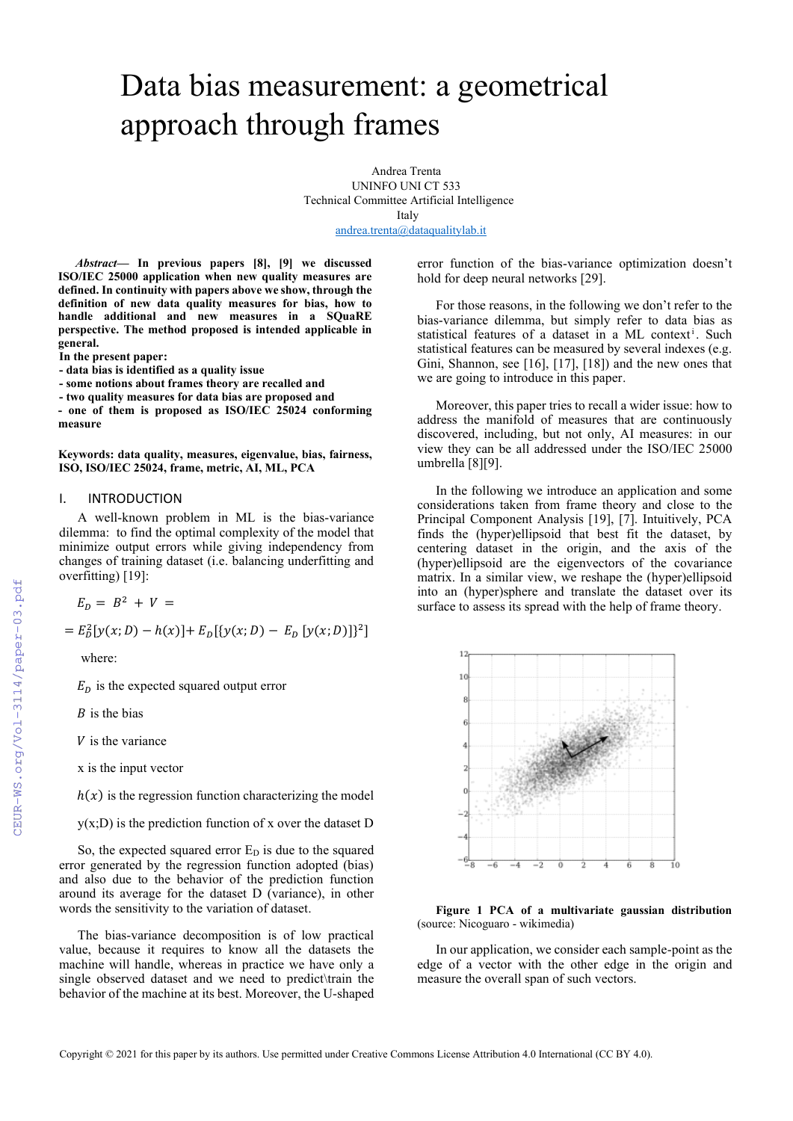# Data bias measurement: a geometrical approach through frames

Andrea Trenta UNINFO UNI CT 533 Technical Committee Artificial Intelligence Italy [andrea.trenta@dataqualitylab.it](mailto:andrea.trenta@dataqualitylab.it)

*Abstract***— In previous papers [8], [9] we discussed ISO/IEC 25000 application when new quality measures are defined. In continuity with papers above we show, through the definition of new data quality measures for bias, how to handle additional and new measures in a SQuaRE perspective. The method proposed is intended applicable in general.**

**In the present paper:**

**- data bias is identified as a quality issue** 

**- some notions about frames theory are recalled and** 

**- two quality measures for data bias are proposed and**

**- one of them is proposed as ISO/IEC 25024 conforming measure**

**Keywords: data quality, measures, eigenvalue, bias, fairness, ISO, ISO/IEC 25024, frame, metric, AI, ML, PCA**

# I. INTRODUCTION

A well-known problem in ML is the bias-variance dilemma: to find the optimal complexity of the model that minimize output errors while giving independency from changes of training dataset (i.e. balancing underfitting and overfitting) [19]:

 $E_D = B^2 + V =$ 

 $= E_D^2[y(x; D) - h(x)] + E_D[\{y(x; D) - E_D[y(x; D)]\}^2]$ 

where:

 $E<sub>D</sub>$  is the expected squared output error

 $B$  is the bias

 $V$  is the variance

x is the input vector

 $h(x)$  is the regression function characterizing the model

 $y(x;D)$  is the prediction function of x over the dataset D

So, the expected squared error  $E<sub>D</sub>$  is due to the squared error generated by the regression function adopted (bias) and also due to the behavior of the prediction function around its average for the dataset D (variance), in other words the sensitivity to the variation of dataset.

The bias-variance decomposition is of low practical value, because it requires to know all the datasets the machine will handle, whereas in practice we have only a single observed dataset and we need to predict\train the behavior of the machine at its best. Moreover, the U-shaped error function of the bias-variance optimization doesn't hold for deep neural networks [29].

For those reasons, in the following we don't refer to the bias-variance dilemma, but simply refer to data bias as statistical features of a dataset in a ML context<sup>i</sup>. Such statistical features can be measured by several indexes (e.g. Gini, Shannon, see [16], [17], [18]) and the new ones that we are going to introduce in this paper.

Moreover, this paper tries to recall a wider issue: how to address the manifold of measures that are continuously discovered, including, but not only, AI measures: in our view they can be all addressed under the ISO/IEC 25000 umbrella [8][9].

In the following we introduce an application and some considerations taken from frame theory and close to the Principal Component Analysis [19], [7]. Intuitively, PCA finds the (hyper)ellipsoid that best fit the dataset, by centering dataset in the origin, and the axis of the (hyper)ellipsoid are the eigenvectors of the covariance matrix. In a similar view, we reshape the (hyper)ellipsoid into an (hyper)sphere and translate the dataset over its surface to assess its spread with the help of frame theory.



**Figure 1 PCA of a multivariate gaussian distribution** (source: Nicoguaro - wikimedia)

In our application, we consider each sample-point as the edge of a vector with the other edge in the origin and measure the overall span of such vectors.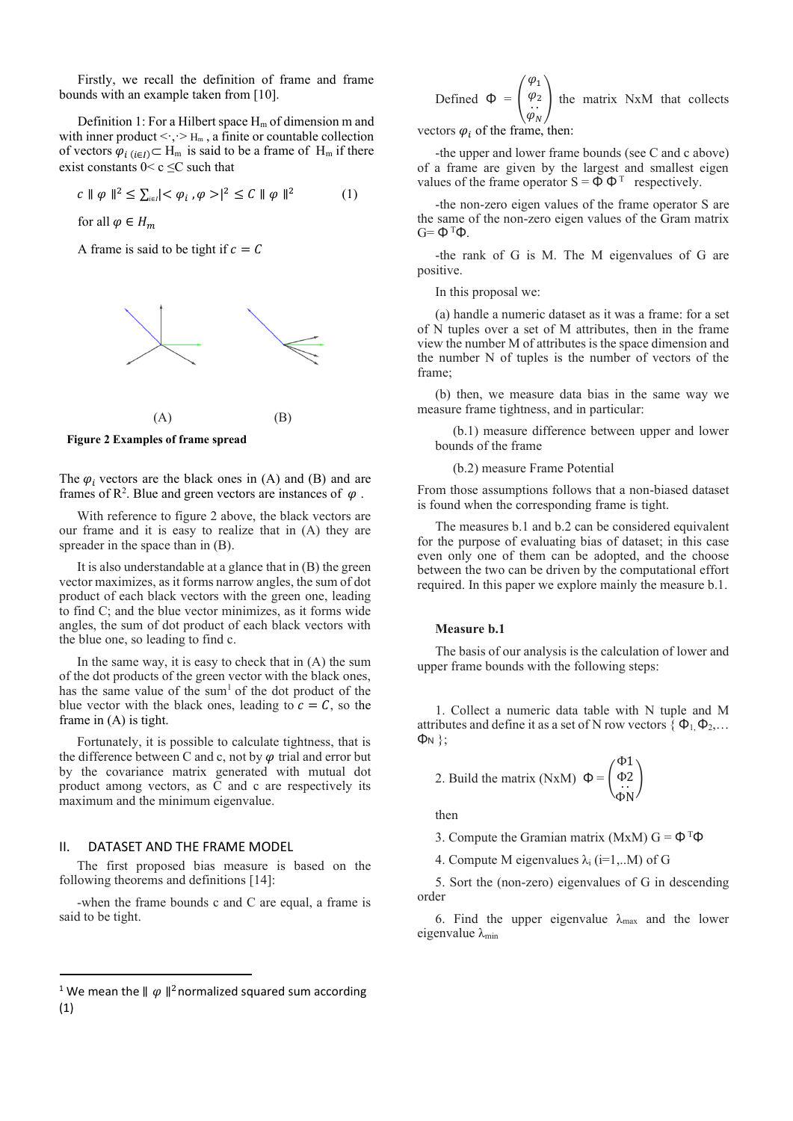Firstly, we recall the definition of frame and frame bounds with an example taken from [10].

Definition 1: For a Hilbert space  $H_m$  of dimension m and with inner product  $\langle \cdot, \cdot \rangle$  H<sub>m</sub>, a finite or countable collection of vectors  $\varphi_{i(i\in I)} \subset H_m$  is said to be a frame of  $H_m$  if there exist constants  $0 < c \leq C$  such that

$$
c \| \varphi \|^{2} \le \sum_{i \in I} \langle \varphi_{i}, \varphi \rangle \langle^{2} \le C \| \varphi \|^{2} \tag{1}
$$

for all  $\varphi \in H_m$ 

A frame is said to be tight if  $c = C$ 



 $(A)$  (B)



The  $\varphi_i$  vectors are the black ones in (A) and (B) and are frames of  $\mathbb{R}^2$ . Blue and green vectors are instances of  $\varphi$ .

With reference to figure 2 above, the black vectors are our frame and it is easy to realize that in (A) they are spreader in the space than in (B).

It is also understandable at a glance that in (B) the green vector maximizes, as it forms narrow angles, the sum of dot product of each black vectors with the green one, leading to find C; and the blue vector minimizes, as it forms wide angles, the sum of dot product of each black vectors with the blue one, so leading to find c.

In the same way, it is easy to check that in (A) the sum of the dot products of the green vector with the black ones, has the same value of the sum<sup>1</sup> of the dot product of the blue vector with the black ones, leading to  $c = C$ , so the frame in (A) is tight.

Fortunately, it is possible to calculate tightness, that is the difference between C and c, not by  $\varphi$  trial and error but by the covariance matrix generated with mutual dot product among vectors, as C and c are respectively its maximum and the minimum eigenvalue.

#### II. DATASET AND THE FRAME MODEL

The first proposed bias measure is based on the following theorems and definitions [14]:

-when the frame bounds c and C are equal, a frame is said to be tight.

Defined 
$$
\Phi = \begin{pmatrix} \varphi_1 \\ \varphi_2 \\ \vdots \\ \varphi_N \end{pmatrix}
$$
 the matrix NxM that collects  
tors  $\varphi$  of the frame then:

vectors  $\varphi_i$  of the frame, then:

-the upper and lower frame bounds (see C and c above) of a frame are given by the largest and smallest eigen values of the frame operator  $S = \vec{\Phi} \Phi^{T}$  respectively.

-the non-zero eigen values of the frame operator S are the same of the non-zero eigen values of the Gram matrix  $G = Φ<sup>T</sup>Φ$ .

-the rank of G is M. The M eigenvalues of G are positive.

In this proposal we:

(a) handle a numeric dataset as it was a frame: for a set of N tuples over a set of M attributes, then in the frame view the number M of attributes is the space dimension and the number N of tuples is the number of vectors of the frame;

(b) then, we measure data bias in the same way we measure frame tightness, and in particular:

(b.1) measure difference between upper and lower bounds of the frame

(b.2) measure Frame Potential

From those assumptions follows that a non-biased dataset is found when the corresponding frame is tight.

The measures b.1 and b.2 can be considered equivalent for the purpose of evaluating bias of dataset; in this case even only one of them can be adopted, and the choose between the two can be driven by the computational effort required. In this paper we explore mainly the measure b.1.

#### **Measure b.1**

The basis of our analysis is the calculation of lower and upper frame bounds with the following steps:

1. Collect a numeric data table with N tuple and M attributes and define it as a set of N row vectors  $\{ \Phi_1, \Phi_2, \dots \}$ Φ<sup>N</sup> };

 $\mathbf{r}$ 

2. Build the matrix (NxM) 
$$
\Phi = \begin{pmatrix} \Phi_1 \\ \Phi_2 \\ \vdots \\ \Phi_N \end{pmatrix}
$$

then

3. Compute the Gramian matrix (MxM)  $G = \Phi^{T} \Phi$ 

4. Compute M eigenvalues  $\lambda_i$  (i=1,..M) of G

5. Sort the (non-zero) eigenvalues of G in descending order

6. Find the upper eigenvalue  $\lambda_{\text{max}}$  and the lower eigenvalue  $\lambda_{\min}$ 

<sup>&</sup>lt;sup>1</sup> We mean the  $\parallel \varphi \parallel^2$ normalized squared sum according (1)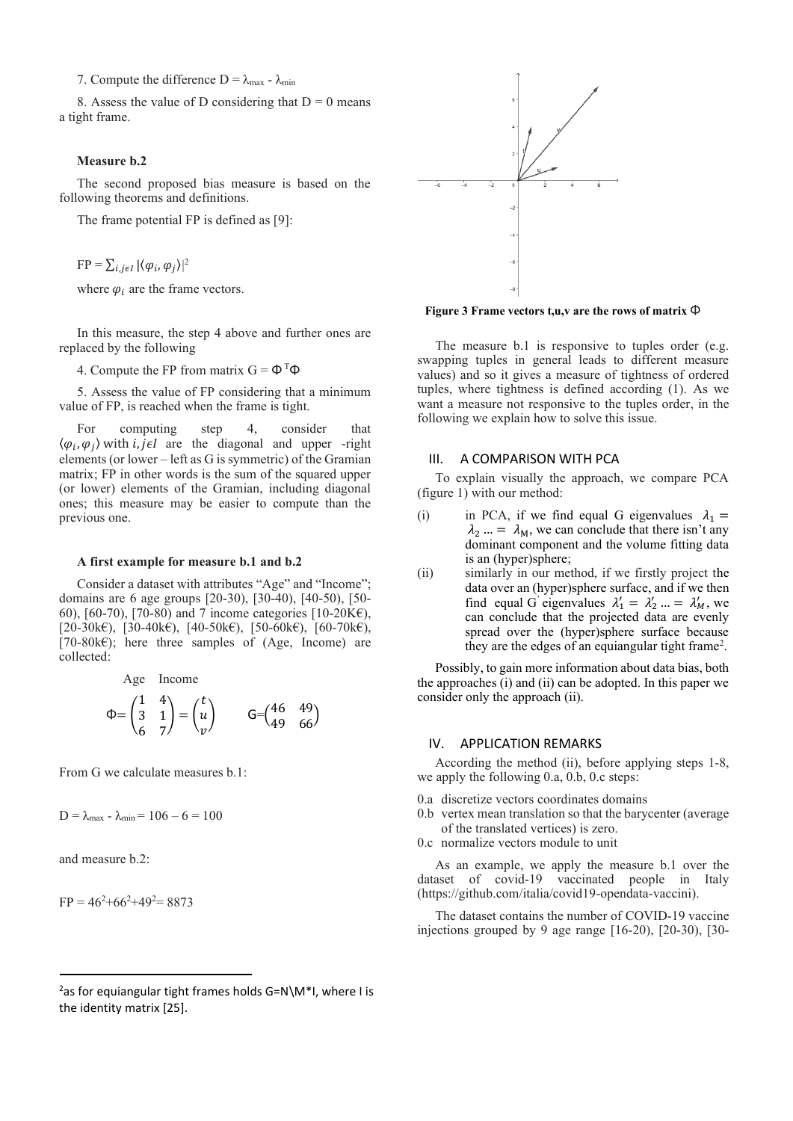7. Compute the difference  $D = \lambda_{\text{max}} - \lambda_{\text{min}}$ 

8. Assess the value of D considering that  $D = 0$  means a tight frame.

#### **Measure b.2**

The second proposed bias measure is based on the following theorems and definitions.

The frame potential FP is defined as [9]:

 $FP = \sum_{i,j\in I} |\langle \varphi_i, \varphi_j \rangle|^2$ 

where  $\varphi_i$  are the frame vectors.

In this measure, the step 4 above and further ones are replaced by the following

4. Compute the FP from matrix  $G = \Phi^{T} \Phi$ 

5. Assess the value of FP considering that a minimum value of FP, is reached when the frame is tight.

For computing step 4, consider that  $\langle \varphi_i, \varphi_j \rangle$  with *i*, *j*e*I* are the diagonal and upper -right elements (or lower – left as G is symmetric) of the Gramian matrix; FP in other words is the sum of the squared upper (or lower) elements of the Gramian, including diagonal ones; this measure may be easier to compute than the previous one.

#### **A first example for measure b.1 and b.2**

Consider a dataset with attributes "Age" and "Income"; domains are 6 age groups [20-30), [30-40), [40-50), [50- 60), [60-70), [70-80) and 7 income categories [10-20 $K\epsilon$ ),  $[20-30k\epsilon), [30-40k\epsilon), [40-50k\epsilon), [50-60k\epsilon), [60-70k\epsilon),$  $[70-80k\epsilon]$ ; here three samples of (Age, Income) are collected:

Age Income  
\n
$$
\Phi = \begin{pmatrix} 1 & 4 \\ 3 & 1 \\ 6 & 7 \end{pmatrix} = \begin{pmatrix} t \\ u \\ v \end{pmatrix} \qquad \mathsf{G} = \begin{pmatrix} 46 & 49 \\ 49 & 66 \end{pmatrix}
$$

From G we calculate measures b.1:

 $D = \lambda_{max}$  -  $\lambda_{min}$  = 106 – 6 = 100

and measure b.2:

 $FP = 46^{2}+66^{2}+49^{2}= 8873$ 





**Figure 3 Frame vectors t,u,v are the rows of matrix** Φ

The measure b.1 is responsive to tuples order (e.g. swapping tuples in general leads to different measure values) and so it gives a measure of tightness of ordered tuples, where tightness is defined according (1). As we want a measure not responsive to the tuples order, in the following we explain how to solve this issue.

#### III. A COMPARISON WITH PCA

To explain visually the approach, we compare PCA (figure 1) with our method:

- (i) in PCA, if we find equal G eigenvalues  $\lambda_1 =$  $\lambda_2$  ... =  $\lambda_M$ , we can conclude that there isn't any dominant component and the volume fitting data is an (hyper)sphere;
- (ii) similarly in our method, if we firstly project the data over an (hyper)sphere surface, and if we then find equal G eigenvalues  $\lambda'_1 = \lambda'_2 ... = \lambda'_M$ , we can conclude that the projected data are evenly spread over the (hyper)sphere surface because they are the edges of an equiangular tight frame<sup>2</sup>.

Possibly, to gain more information about data bias, both the approaches (i) and (ii) can be adopted. In this paper we consider only the approach (ii).

#### IV. APPLICATION REMARKS

According the method (ii), before applying steps 1-8, we apply the following 0.a, 0.b, 0.c steps:

- 0.a discretize vectors coordinates domains
- 0.b vertex mean translation so that the barycenter (average of the translated vertices) is zero.
- 0.c normalize vectors module to unit

As an example, we apply the measure b.1 over the dataset of covid-19 vaccinated people in Italy [\(https://github.com/italia/covid19-opendata-vaccini\)](https://github.com/italia/covid19-opendata-vaccini).

The dataset contains the number of COVID-19 vaccine injections grouped by 9 age range [16-20), [20-30), [30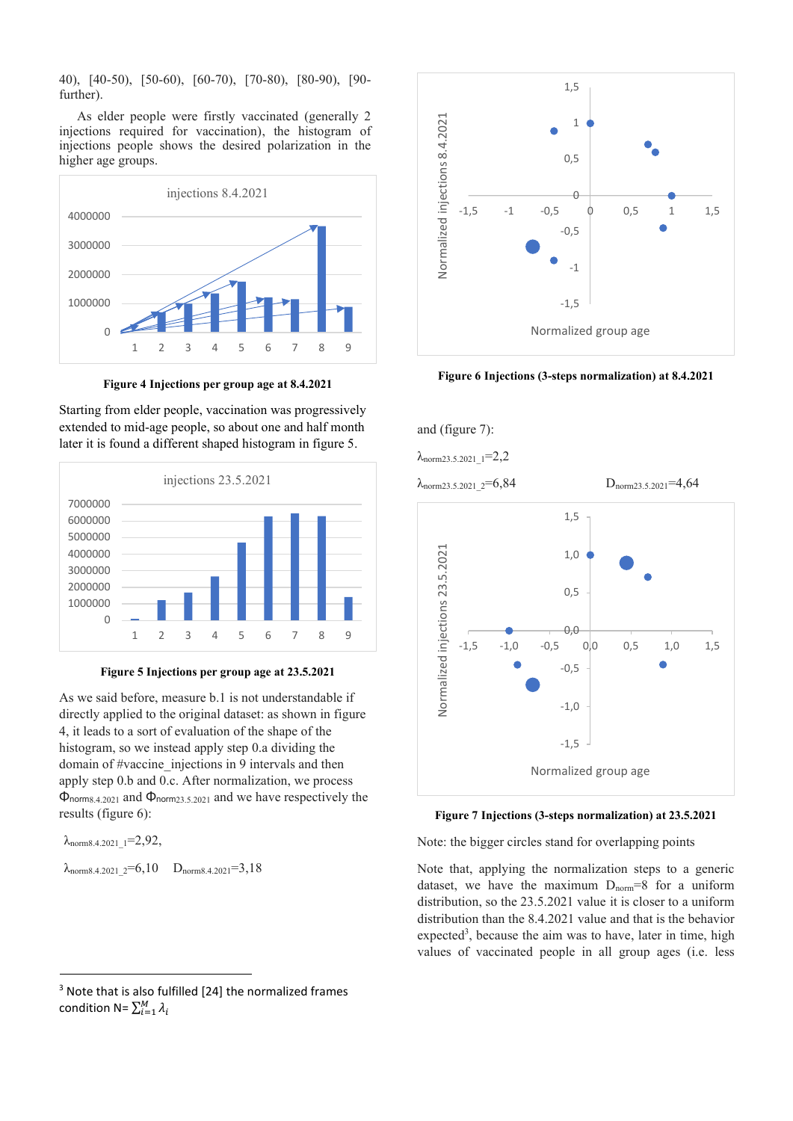40), [40-50), [50-60), [60-70), [70-80), [80-90), [90 further).

As elder people were firstly vaccinated (generally 2 injections required for vaccination), the histogram of injections people shows the desired polarization in the higher age groups.



**Figure 4 Injections per group age at 8.4.2021**

Starting from elder people, vaccination was progressively extended to mid-age people, so about one and half month later it is found a different shaped histogram in figure 5.



#### **Figure 5 Injections per group age at 23.5.2021**

As we said before, measure b.1 is not understandable if directly applied to the original dataset: as shown in figure 4, it leads to a sort of evaluation of the shape of the histogram, so we instead apply step 0.a dividing the domain of #vaccine injections in 9 intervals and then apply step 0.b and 0.c. After normalization, we process Φnorm8.4.2021 and Φnorm23.5.2021 and we have respectively the results (figure 6):

 $\lambda$ <sub>norm8.4.2021</sub>  $1=2,92$ ,  $\lambda_{\text{norm8.4.2021}}$   $2=6,10$  D<sub>norm8.4.2021</sub>=3,18



**Figure 6 Injections (3-steps normalization) at 8.4.2021**



**Figure 7 Injections (3-steps normalization) at 23.5.2021**

Note: the bigger circles stand for overlapping points

Note that, applying the normalization steps to a generic dataset, we have the maximum  $D_{norm}=8$  for a uniform distribution, so the 23.5.2021 value it is closer to a uniform distribution than the 8.4.2021 value and that is the behavior expected<sup>3</sup>, because the aim was to have, later in time, high values of vaccinated people in all group ages (i.e. less

<sup>&</sup>lt;sup>3</sup> Note that is also fulfilled [24] the normalized frames condition N=  $\sum_{i=1}^{M} \lambda_i$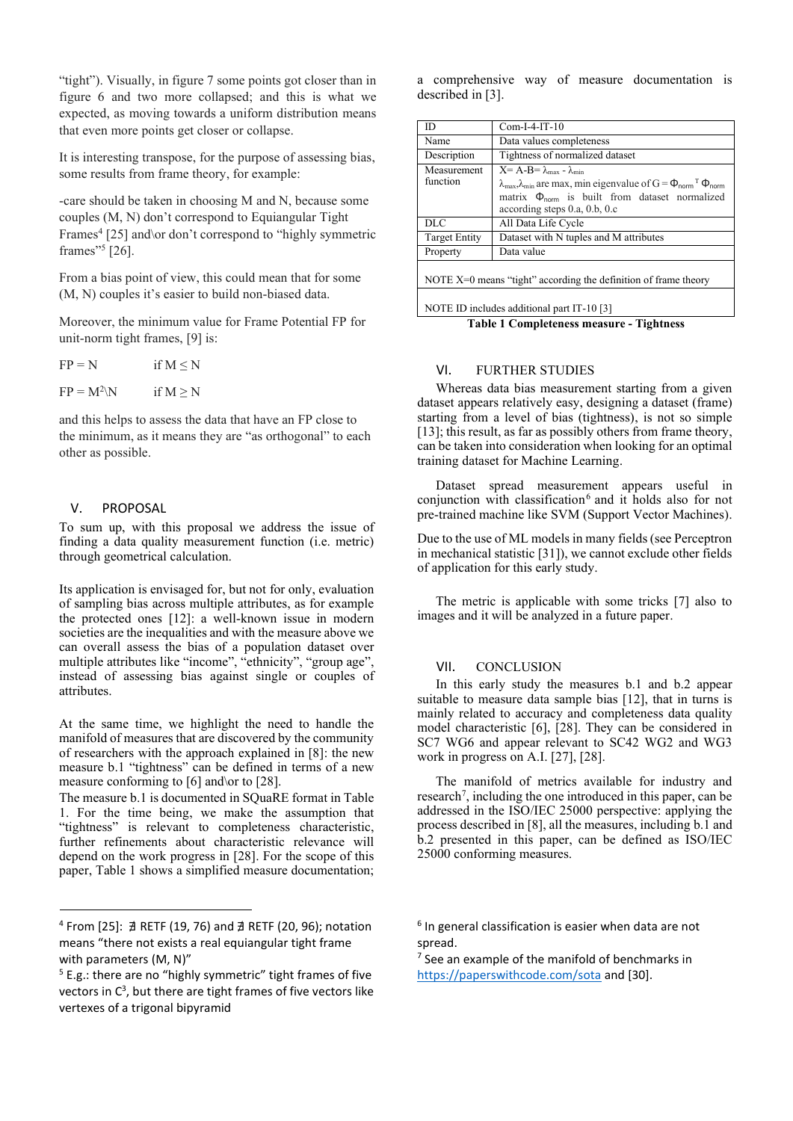"tight"). Visually, in figure 7 some points got closer than in figure 6 and two more collapsed; and this is what we expected, as moving towards a uniform distribution means that even more points get closer or collapse.

It is interesting transpose, for the purpose of assessing bias, some results from frame theory, for example:

-care should be taken in choosing M and N, because some couples (M, N) don't correspond to Equiangular Tight Frames<sup>4</sup> [25] and\or don't correspond to "highly symmetric frames"<sup>5</sup> [26].

From a bias point of view, this could mean that for some (M, N) couples it's easier to build non-biased data.

Moreover, the minimum value for Frame Potential FP for unit-norm tight frames, [9] is:

| $FP = N$      | if $M \le N$ |
|---------------|--------------|
| $FP = M^2 \N$ | if $M \ge N$ |

and this helps to assess the data that have an FP close to the minimum, as it means they are "as orthogonal" to each other as possible.

# V. PROPOSAL

To sum up, with this proposal we address the issue of finding a data quality measurement function (i.e. metric) through geometrical calculation.

Its application is envisaged for, but not for only, evaluation of sampling bias across multiple attributes, as for example the protected ones [12]: a well-known issue in modern societies are the inequalities and with the measure above we can overall assess the bias of a population dataset over multiple attributes like "income", "ethnicity", "group age", instead of assessing bias against single or couples of attributes.

At the same time, we highlight the need to handle the manifold of measures that are discovered by the community of researchers with the approach explained in [8]: the new measure b.1 "tightness" can be defined in terms of a new measure conforming to [6] and \or to [28].

The measure b.1 is documented in SQuaRE format in Table 1. For the time being, we make the assumption that "tightness" is relevant to completeness characteristic, further refinements about characteristic relevance will depend on the work progress in [28]. For the scope of this paper, Table 1 shows a simplified measure documentation; a comprehensive way of measure documentation is described in [3].

| $Com-I-4-IT-10$                                                                                                                                                                                                                                                                       |  |
|---------------------------------------------------------------------------------------------------------------------------------------------------------------------------------------------------------------------------------------------------------------------------------------|--|
| Data values completeness                                                                                                                                                                                                                                                              |  |
| Tightness of normalized dataset                                                                                                                                                                                                                                                       |  |
| $X = A-B = \lambda_{max} - \lambda_{min}$<br>$\lambda_{\text{max}}$ , $\lambda_{\text{min}}$ are max, min eigenvalue of G = $\Phi_{\text{norm}}$ <sup>T</sup> $\Phi_{\text{norm}}$<br>matrix $\Phi_{\text{norm}}$ is built from dataset normalized<br>according steps $0.a, 0.b, 0.c$ |  |
| All Data Life Cycle                                                                                                                                                                                                                                                                   |  |
| Dataset with N tuples and M attributes                                                                                                                                                                                                                                                |  |
| Data value                                                                                                                                                                                                                                                                            |  |
| NOTE $X=0$ means "tight" according the definition of frame theory                                                                                                                                                                                                                     |  |
|                                                                                                                                                                                                                                                                                       |  |

NOTE ID includes additional part IT-10 [3]

**Table 1 Completeness measure - Tightness**

## VI. FURTHER STUDIES

Whereas data bias measurement starting from a given dataset appears relatively easy, designing a dataset (frame) starting from a level of bias (tightness), is not so simple [13]; this result, as far as possibly others from frame theory, can be taken into consideration when looking for an optimal training dataset for Machine Learning.

Dataset spread measurement appears useful in conjunction with classification<sup>6</sup> and it holds also for not pre-trained machine like SVM (Support Vector Machines).

Due to the use of ML models in many fields (see Perceptron in mechanical statistic [31]), we cannot exclude other fields of application for this early study.

The metric is applicable with some tricks [7] also to images and it will be analyzed in a future paper.

## VII. CONCLUSION

In this early study the measures b.1 and b.2 appear suitable to measure data sample bias [12], that in turns is mainly related to accuracy and completeness data quality model characteristic [6], [28]. They can be considered in SC7 WG6 and appear relevant to SC42 WG2 and WG3 work in progress on A.I. [27], [28].

The manifold of metrics available for industry and research<sup>7</sup>, including the one introduced in this paper, can be addressed in the ISO/IEC 25000 perspective: applying the process described in [8], all the measures, including b.1 and b.2 presented in this paper, can be defined as ISO/IEC 25000 conforming measures.

<sup>4</sup> From [25]: ∄ RETF (19, 76) and ∄ RETF (20, 96); notation means "there not exists a real equiangular tight frame with parameters (M, N)"

 $5$  E.g.: there are no "highly symmetric" tight frames of five vectors in  $C^3$ , but there are tight frames of five vectors like vertexes of a trigonal bipyramid

<sup>6</sup> In general classification is easier when data are not spread.

<sup>&</sup>lt;sup>7</sup> See an example of the manifold of benchmarks in <https://paperswithcode.com/sota> and [30].